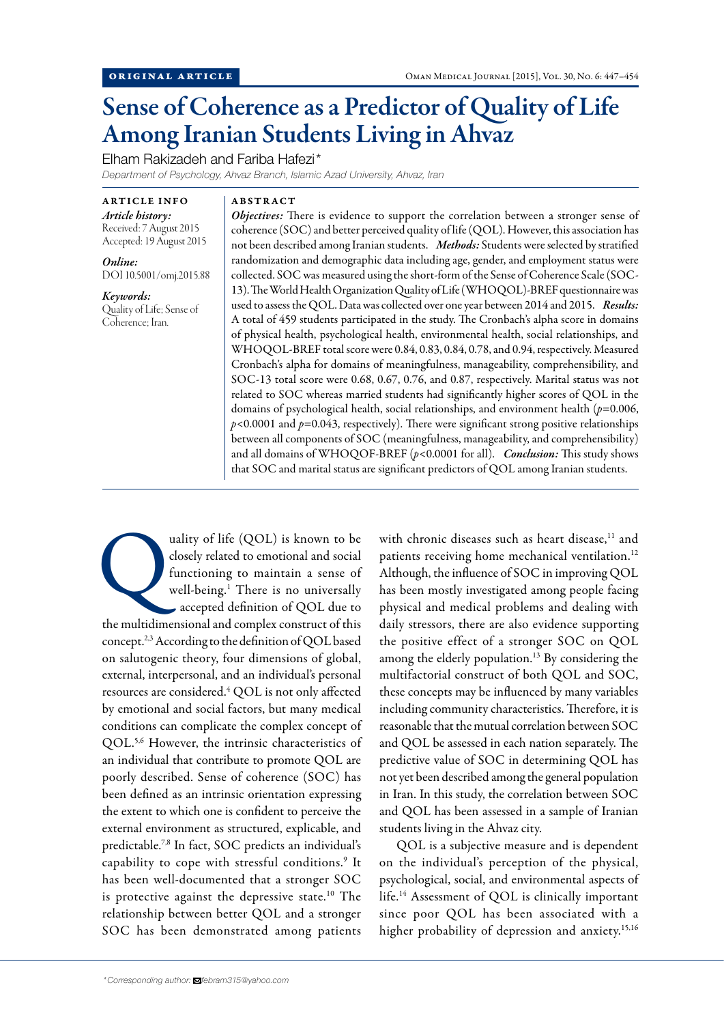# Sense of Coherence as a Predictor of Quality of Life Among Iranian Students Living in Ahvaz

Elham Rakizadeh and Fariba Hafezi\*

*Department of Psychology, Ahvaz Branch, Islamic Azad University, Ahvaz, Iran*

ARTICLE INFO *Article history:*  Received: 7 August 2015 Accepted: 19 August 2015

*Online:* DOI 10.5001/omj.2015.88

*Keywords:*  Quality of Life; Sense of Coherence; Iran.

ABSTRACT

*Objectives:* There is evidence to support the correlation between a stronger sense of coherence (SOC) and better perceived quality of life (QOL). However, this association has not been described among Iranian students. *Methods:* Students were selected by stratified randomization and demographic data including age, gender, and employment status were collected. SOC was measured using the short-form of the Sense of Coherence Scale (SOC-13). The World Health Organization Quality of Life (WHOQOL)-BREF questionnaire was used to assess the QOL. Data was collected over one year between 2014 and 2015. *Results:*  A total of 459 students participated in the study. The Cronbach's alpha score in domains of physical health, psychological health, environmental health, social relationships, and WHOQOL-BREF total score were 0.84, 0.83, 0.84, 0.78, and 0.94, respectively. Measured Cronbach's alpha for domains of meaningfulness, manageability, comprehensibility, and SOC-13 total score were 0.68, 0.67, 0.76, and 0.87, respectively. Marital status was not related to SOC whereas married students had significantly higher scores of QOL in the domains of psychological health, social relationships, and environment health (*p*=0.006, *p*<0.0001 and *p*=0.043, respectively). There were significant strong positive relationships between all components of SOC (meaningfulness, manageability, and comprehensibility) and all domains of WHOQOF-BREF (*p*<0.0001 for all). *Conclusion:* This study shows that SOC and marital status are significant predictors of QOL among Iranian students.

uality of life (QOL) is known to be<br>closely related to emotional and social<br>functioning to maintain a sense of<br>well-being.<sup>1</sup> There is no universally<br>accepted definition of QOL due to closely related to emotional and social functioning to maintain a sense of well-being.1 There is no universally accepted definition of QOL due to the multidimensional and complex construct of this concept.2,3 According to the definition of QOL based on salutogenic theory, four dimensions of global, external, interpersonal, and an individual's personal resources are considered.<sup>4</sup> QOL is not only affected by emotional and social factors, but many medical conditions can complicate the complex concept of QOL.5,6 However, the intrinsic characteristics of an individual that contribute to promote QOL are poorly described. Sense of coherence (SOC) has been defined as an intrinsic orientation expressing the extent to which one is confident to perceive the external environment as structured, explicable, and predictable.7,8 In fact, SOC predicts an individual's capability to cope with stressful conditions.<sup>9</sup> It has been well-documented that a stronger SOC is protective against the depressive state.10 The relationship between better QOL and a stronger SOC has been demonstrated among patients

with chronic diseases such as heart disease,<sup>11</sup> and patients receiving home mechanical ventilation.<sup>12</sup> Although, the influence of SOC in improving QOL has been mostly investigated among people facing physical and medical problems and dealing with daily stressors, there are also evidence supporting the positive effect of a stronger SOC on QOL among the elderly population.<sup>13</sup> By considering the multifactorial construct of both QOL and SOC, these concepts may be influenced by many variables including community characteristics. Therefore, it is reasonable that the mutual correlation between SOC and QOL be assessed in each nation separately. The predictive value of SOC in determining QOL has not yet been described among the general population in Iran. In this study, the correlation between SOC and QOL has been assessed in a sample of Iranian students living in the Ahvaz city.

QOL is a subjective measure and is dependent on the individual's perception of the physical, psychological, social, and environmental aspects of life.14 Assessment of QOL is clinically important since poor QOL has been associated with a higher probability of depression and anxiety.<sup>15,16</sup>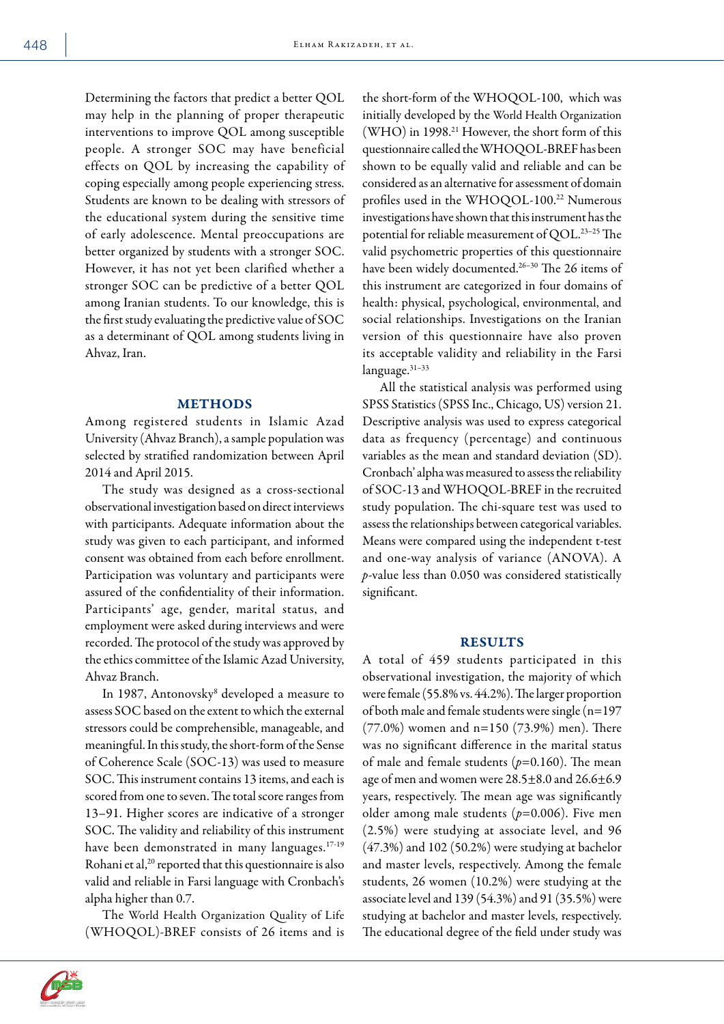Determining the factors that predict a better QOL may help in the planning of proper therapeutic interventions to improve QOL among susceptible people. A stronger SOC may have beneficial effects on QOL by increasing the capability of coping especially among people experiencing stress. Students are known to be dealing with stressors of the educational system during the sensitive time of early adolescence. Mental preoccupations are better organized by students with a stronger SOC. However, it has not yet been clarified whether a stronger SOC can be predictive of a better QOL among Iranian students. To our knowledge, this is the first study evaluating the predictive value of SOC as a determinant of QOL among students living in Ahvaz, Iran.

#### METHODS

Among registered students in Islamic Azad University (Ahvaz Branch), a sample population was selected by stratified randomization between April 2014 and April 2015.

The study was designed as a cross-sectional observational investigation based on direct interviews with participants. Adequate information about the study was given to each participant, and informed consent was obtained from each before enrollment. Participation was voluntary and participants were assured of the confidentiality of their information. Participants' age, gender, marital status, and employment were asked during interviews and were recorded. The protocol of the study was approved by the ethics committee of the Islamic Azad University, Ahvaz Branch.

In 1987, Antonovsky8 developed a measure to assess SOC based on the extent to which the external stressors could be comprehensible, manageable, and meaningful. In this study, the short-form of the Sense of Coherence Scale (SOC-13) was used to measure SOC. This instrument contains 13 items, and each is scored from one to seven. The total score ranges from 13–91. Higher scores are indicative of a stronger SOC. The validity and reliability of this instrument have been demonstrated in many languages.<sup>17-19</sup> Rohani et al,<sup>20</sup> reported that this questionnaire is also valid and reliable in Farsi language with Cronbach's alpha higher than 0.7.

The World Health Organization Quality of Life (WHOQOL)-BREF consists of 26 items and is



All the statistical analysis was performed using SPSS Statistics (SPSS Inc., Chicago, US) version 21. Descriptive analysis was used to express categorical data as frequency (percentage) and continuous variables as the mean and standard deviation (SD). Cronbach' alpha was measured to assess the reliability of SOC-13 and WHOQOL-BREF in the recruited study population. The chi-square test was used to assess the relationships between categorical variables. Means were compared using the independent t-test and one-way analysis of variance (ANOVA). A *p*-value less than 0.050 was considered statistically significant.

### RESULTS

A total of 459 students participated in this observational investigation, the majority of which were female (55.8% vs. 44.2%). The larger proportion of both male and female students were single (n=197 (77.0%) women and n=150 (73.9%) men). There was no significant difference in the marital status of male and female students (*p*=0.160). The mean age of men and women were 28.5±8.0 and 26.6±6.9 years, respectively. The mean age was significantly older among male students (*p*=0.006). Five men (2.5%) were studying at associate level, and 96 (47.3%) and 102 (50.2%) were studying at bachelor and master levels, respectively. Among the female students, 26 women (10.2%) were studying at the associate level and 139 (54.3%) and 91 (35.5%) were studying at bachelor and master levels, respectively. The educational degree of the field under study was

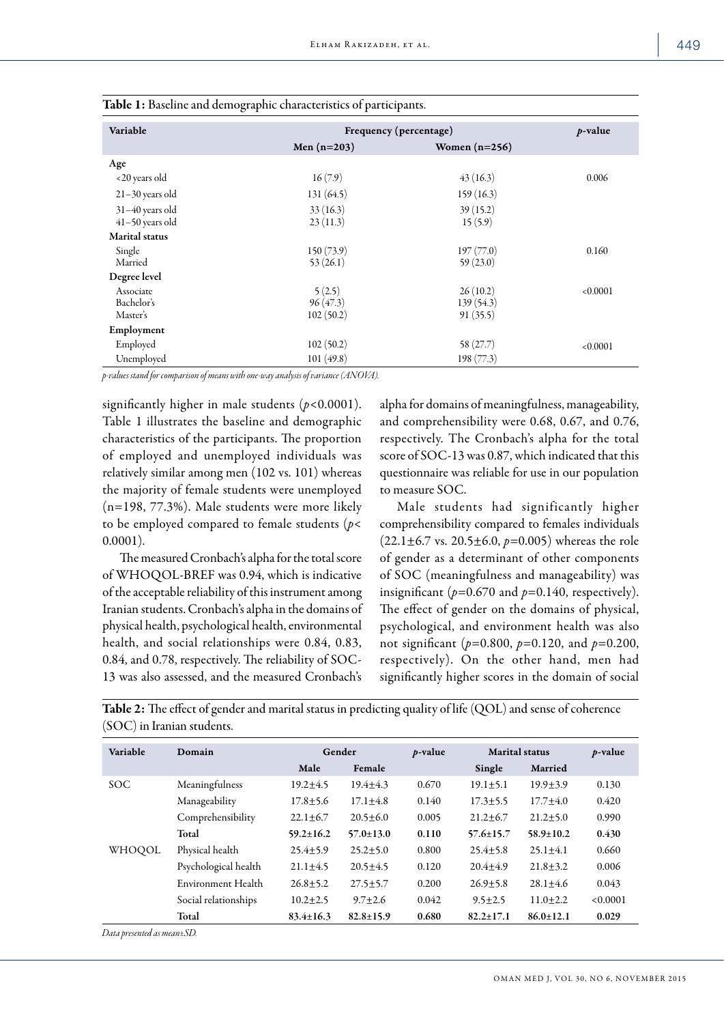| Variable                               | Frequency (percentage)          | $p$ -value                         |          |
|----------------------------------------|---------------------------------|------------------------------------|----------|
|                                        | Men $(n=203)$                   | Women $(n=256)$                    |          |
| Age                                    |                                 |                                    |          |
| <20 years old                          | 16(7.9)                         | 43(16.3)                           | 0.006    |
| $21-30$ years old                      | 131(64.5)                       | 159(16.3)                          |          |
| $31-40$ years old<br>$41-50$ years old | 33(16.3)<br>23(11.3)            | 39(15.2)<br>15(5.9)                |          |
| <b>Marital</b> status                  |                                 |                                    |          |
| Single<br>Married                      | 150(73.9)<br>53(26.1)           | 197(77.0)<br>59(23.0)              | 0.160    |
| Degree level                           |                                 |                                    |          |
| Associate<br>Bachelor's<br>Master's    | 5(2.5)<br>96(47.3)<br>102(50.2) | 26(10.2)<br>139 (54.3)<br>91(35.5) | < 0.0001 |
| Employment                             |                                 |                                    |          |
| Employed                               | 102(50.2)                       | 58(27.7)                           | < 0.0001 |
| Unemployed                             | 101(49.8)                       | 198(77.3)                          |          |

| Table 1: Baseline and demographic characteristics of participants. |  |  |
|--------------------------------------------------------------------|--|--|
|                                                                    |  |  |

*p-values stand for comparison of means with one-way analysis of variance (ANOVA).*

significantly higher in male students (*p*<0.0001). Table 1 illustrates the baseline and demographic characteristics of the participants. The proportion of employed and unemployed individuals was relatively similar among men (102 vs. 101) whereas the majority of female students were unemployed (n=198, 77.3%). Male students were more likely to be employed compared to female students (*p*< 0.0001).

The measured Cronbach's alpha for the total score of WHOQOL-BREF was 0.94, which is indicative of the acceptable reliability of this instrument among Iranian students. Cronbach's alpha in the domains of physical health, psychological health, environmental health, and social relationships were 0.84, 0.83, 0.84, and 0.78, respectively. The reliability of SOC-13 was also assessed, and the measured Cronbach's

alpha for domains of meaningfulness, manageability, and comprehensibility were 0.68, 0.67, and 0.76, respectively. The Cronbach's alpha for the total score of SOC-13 was 0.87, which indicated that this questionnaire was reliable for use in our population to measure SOC.

Male students had significantly higher comprehensibility compared to females individuals (22.1±6.7 vs. 20.5±6.0, *p*=0.005) whereas the role of gender as a determinant of other components of SOC (meaningfulness and manageability) was insignificant ( $p=0.670$  and  $p=0.140$ , respectively). The effect of gender on the domains of physical, psychological, and environment health was also not significant (*p*=0.800, *p*=0.120, and *p*=0.200, respectively). On the other hand, men had significantly higher scores in the domain of social

Table 2: The effect of gender and marital status in predicting quality of life (QOL) and sense of coherence (SOC) in Iranian students.

| Variable   | Domain               | Gender          |                 | $p$ -value | <b>Marital</b> status |                 | $p$ -value |
|------------|----------------------|-----------------|-----------------|------------|-----------------------|-----------------|------------|
|            |                      | Male            | Female          |            | Single                | Married         |            |
| <b>SOC</b> | Meaningfulness       | $19.2 + 4.5$    | $19.4 + 4.3$    | 0.670      | $19.1 + 5.1$          | $19.9 + 3.9$    | 0.130      |
|            | Manageability        | $17.8 + 5.6$    | $17.1 + 4.8$    | 0.140      | $17.3 + 5.5$          | $17.7 + 4.0$    | 0.420      |
|            | Comprehensibility    | $22.1 + 6.7$    | $20.5 + 6.0$    | 0.005      | $21.2 + 6.7$          | $21.2 + 5.0$    | 0.990      |
|            | Total                | $59.2 \pm 16.2$ | $57.0 \pm 13.0$ | 0.110      | $57.6 \pm 15.7$       | $58.9 \pm 10.2$ | 0.430      |
| WHOQOL     | Physical health      | $25.4 + 5.9$    | $25.2 \pm 5.0$  | 0.800      | $25.4 + 5.8$          | $25.1 + 4.1$    | 0.660      |
|            | Psychological health | $21.1 + 4.5$    | $20.5 + 4.5$    | 0.120      | $20.4 + 4.9$          | $21.8 + 3.2$    | 0.006      |
|            | Environment Health   | $26.8 + 5.2$    | $27.5 + 5.7$    | 0.200      | $26.9 + 5.8$          | $28.1 + 4.6$    | 0.043      |
|            | Social relationships | $10.2 + 2.5$    | $9.7 + 2.6$     | 0.042      | $9.5 + 2.5$           | $11.0 + 2.2$    | < 0.0001   |
|            | Total                | $83.4 \pm 16.3$ | $82.8 \pm 15.9$ | 0.680      | $82.2 + 17.1$         | $86.0 + 12.1$   | 0.029      |

*Data presented as mean±SD.*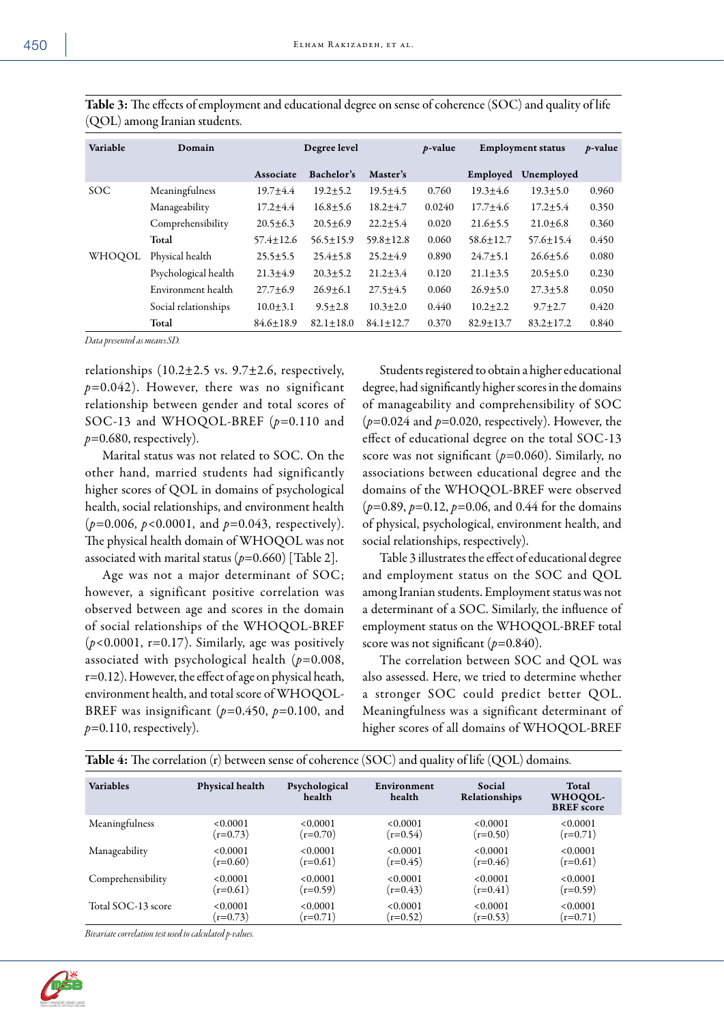| ×<br>۰.<br>۰.<br>. . |  |
|----------------------|--|
|----------------------|--|

| Variable   | Domain               | Degree level  |                 | $p$ -value<br><b>Employment status</b> |        |                 | $p$ -value    |       |
|------------|----------------------|---------------|-----------------|----------------------------------------|--------|-----------------|---------------|-------|
|            |                      | Associate     | Bachelor's      | Master's                               |        | Employed        | Unemployed    |       |
| <b>SOC</b> | Meaningfulness       | $19.7 + 4.4$  | $19.2 + 5.2$    | $19.5 + 4.5$                           | 0.760  | $19.3 + 4.6$    | $19.3 + 5.0$  | 0.960 |
|            | Manageability        | $17.2 + 4.4$  | $16.8 + 5.6$    | $18.2 + 4.7$                           | 0.0240 | $17.7 + 4.6$    | $17.2 + 5.4$  | 0.350 |
|            | Comprehensibility    | $20.5 + 6.3$  | $20.5 + 6.9$    | $22.2 + 5.4$                           | 0.020  | $21.6 + 5.5$    | $21.0 + 6.8$  | 0.360 |
|            | Total                | $57.4 + 12.6$ | $56.5 \pm 15.9$ | $59.8 + 12.8$                          | 0.060  | $58.6 + 12.7$   | $57.6 + 15.4$ | 0.450 |
| WHOOOL     | Physical health      | $25.5 + 5.5$  | $25.4 + 5.8$    | $25.2 + 4.9$                           | 0.890  | $24.7 + 5.1$    | $26.6 + 5.6$  | 0.080 |
|            | Psychological health | $21.3 + 4.9$  | $20.3 + 5.2$    | $21.2 + 3.4$                           | 0.120  | $21.1 + 3.5$    | $20.5 + 5.0$  | 0.230 |
|            | Environment health   | $27.7 + 6.9$  | $26.9 + 6.1$    | $27.5 + 4.5$                           | 0.060  | $26.9 + 5.0$    | $27.3 + 5.8$  | 0.050 |
|            | Social relationships | $10.0 + 3.1$  | $9.5 \pm 2.8$   | $10.3 + 2.0$                           | 0.440  | $10.2 + 2.2$    | $9.7 + 2.7$   | 0.420 |
|            | Total                | $84.6 + 18.9$ | $82.1 + 18.0$   | $84.1 \pm 12.7$                        | 0.370  | $82.9 \pm 13.7$ | $83.2 + 17.2$ | 0.840 |

Table 3: The effects of employment and educational degree on sense of coherence (SOC) and quality of life (QOL) among Iranian students.

*Data presented as mean±SD.* 

relationships  $(10.2 \pm 2.5 \text{ vs. } 9.7 \pm 2.6, \text{ respectively},$ *p*=0.042). However, there was no significant relationship between gender and total scores of SOC-13 and WHOQOL-BREF (*p*=0.110 and *p*=0.680, respectively).

Marital status was not related to SOC. On the other hand, married students had significantly higher scores of QOL in domains of psychological health, social relationships, and environment health (*p*=0.006, *p*<0.0001, and *p*=0.043, respectively). The physical health domain of WHOQOL was not associated with marital status  $(p=0.660)$  [Table 2].

Age was not a major determinant of SOC; however, a significant positive correlation was observed between age and scores in the domain of social relationships of the WHOQOL-BREF (*p*<0.0001, r=0.17). Similarly, age was positively associated with psychological health (*p*=0.008, r=0.12). However, the effect of age on physical heath, environment health, and total score of WHOQOL-BREF was insignificant ( $p=0.450$ ,  $p=0.100$ , and  $p=0.110$ , respectively).

Students registered to obtain a higher educational degree, had significantly higher scores in the domains of manageability and comprehensibility of SOC  $(p=0.024$  and  $p=0.020$ , respectively). However, the effect of educational degree on the total SOC-13 score was not significant (*p*=0.060). Similarly, no associations between educational degree and the domains of the WHOQOL-BREF were observed (*p*=0.89, *p*=0.12, *p*=0.06, and 0.44 for the domains of physical, psychological, environment health, and social relationships, respectively).

Table 3 illustrates the effect of educational degree and employment status on the SOC and QOL among Iranian students. Employment status was not a determinant of a SOC. Similarly, the influence of employment status on the WHOQOL-BREF total score was not significant ( $p=0.840$ ).

The correlation between SOC and QOL was also assessed. Here, we tried to determine whether a stronger SOC could predict better QOL. Meaningfulness was a significant determinant of higher scores of all domains of WHOQOL-BREF

| <b>Table 4:</b> The correlation $(r)$ between sense of coherence $(SOC)$ and quality of life $(QOL)$ domains. |                 |                         |                       |                         |                                       |  |  |  |
|---------------------------------------------------------------------------------------------------------------|-----------------|-------------------------|-----------------------|-------------------------|---------------------------------------|--|--|--|
| <b>Variables</b>                                                                                              | Physical health | Psychological<br>health | Environment<br>health | Social<br>Relationships | Total<br>WHOQOL-<br><b>BREF</b> score |  |  |  |
| Meaningfulness                                                                                                | < 0.0001        | < 0.0001                | < 0.0001              | < 0.0001                | < 0.0001                              |  |  |  |
|                                                                                                               | $(r=0.73)$      | $(r=0.70)$              | $(r=0.54)$            | $(r=0.50)$              | $(r=0.71)$                            |  |  |  |
| Manageability                                                                                                 | < 0.0001        | < 0.0001                | < 0.0001              | < 0.0001                | < 0.0001                              |  |  |  |
|                                                                                                               | $(r=0.60)$      | $(r=0.61)$              | $(r=0.45)$            | $(r=0.46)$              | $(r=0.61)$                            |  |  |  |
| Comprehensibility                                                                                             | < 0.0001        | < 0.0001                | < 0.0001              | < 0.0001                | < 0.0001                              |  |  |  |
|                                                                                                               | $(r=0.61)$      | $(r=0.59)$              | $(r=0.43)$            | $(r=0.41)$              | $(r=0.59)$                            |  |  |  |
| Total SOC-13 score                                                                                            | < 0.0001        | < 0.0001                | < 0.0001              | < 0.0001                | < 0.0001                              |  |  |  |
|                                                                                                               | $(r=0.73)$      | $(r=0.71)$              | $(r=0.52)$            | $(r=0.53)$              | $(r=0.71)$                            |  |  |  |

*Bivariate correlation test used to calculated p-values.*

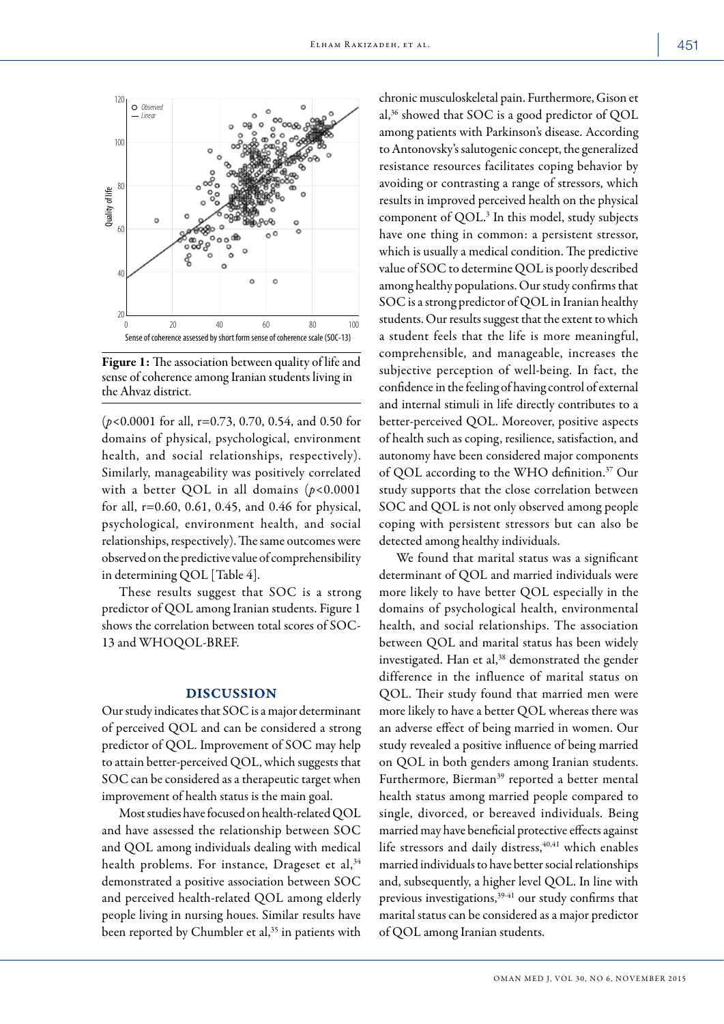

Figure 1: The association between quality of life and sense of coherence among Iranian students living in the Ahvaz district.

(*p*<0.0001 for all, r=0.73, 0.70, 0.54, and 0.50 for domains of physical, psychological, environment health, and social relationships, respectively). Similarly, manageability was positively correlated with a better QOL in all domains (*p*<0.0001 for all, r=0.60, 0.61, 0.45, and 0.46 for physical, psychological, environment health, and social relationships, respectively). The same outcomes were observed on the predictive value of comprehensibility in determining QOL [Table 4].

These results suggest that SOC is a strong predictor of QOL among Iranian students. Figure 1 shows the correlation between total scores of SOC-13 and WHOQOL-BREF.

## DISCUSSION

Our study indicates that SOC is a major determinant of perceived QOL and can be considered a strong predictor of QOL. Improvement of SOC may help to attain better-perceived QOL, which suggests that SOC can be considered as a therapeutic target when improvement of health status is the main goal.

Most studies have focused on health-related QOL and have assessed the relationship between SOC and QOL among individuals dealing with medical health problems. For instance, Drageset et al,<sup>34</sup> demonstrated a positive association between SOC and perceived health-related QOL among elderly people living in nursing houes. Similar results have been reported by Chumbler et al,<sup>35</sup> in patients with chronic musculoskeletal pain. Furthermore, Gison et al,36 showed that SOC is a good predictor of QOL among patients with Parkinson's disease. According to Antonovsky's salutogenic concept, the generalized resistance resources facilitates coping behavior by avoiding or contrasting a range of stressors, which results in improved perceived health on the physical component of QOL.3 In this model, study subjects have one thing in common: a persistent stressor, which is usually a medical condition. The predictive value of SOC to determine QOL is poorly described among healthy populations. Our study confirms that SOC is a strong predictor of QOL in Iranian healthy students. Our results suggest that the extent to which a student feels that the life is more meaningful, comprehensible, and manageable, increases the subjective perception of well-being. In fact, the confidence in the feeling of having control of external and internal stimuli in life directly contributes to a better-perceived QOL. Moreover, positive aspects of health such as coping, resilience, satisfaction, and autonomy have been considered major components of QOL according to the WHO definition.37 Our study supports that the close correlation between SOC and QOL is not only observed among people coping with persistent stressors but can also be detected among healthy individuals.

We found that marital status was a significant determinant of QOL and married individuals were more likely to have better QOL especially in the domains of psychological health, environmental health, and social relationships. The association between QOL and marital status has been widely investigated. Han et al,<sup>38</sup> demonstrated the gender difference in the influence of marital status on QOL. Their study found that married men were more likely to have a better QOL whereas there was an adverse effect of being married in women. Our study revealed a positive influence of being married on QOL in both genders among Iranian students. Furthermore, Bierman<sup>39</sup> reported a better mental health status among married people compared to single, divorced, or bereaved individuals. Being married may have beneficial protective effects against life stressors and daily distress,<sup>40,41</sup> which enables married individuals to have better social relationships and, subsequently, a higher level QOL. In line with previous investigations,<sup>39-41</sup> our study confirms that marital status can be considered as a major predictor of QOL among Iranian students.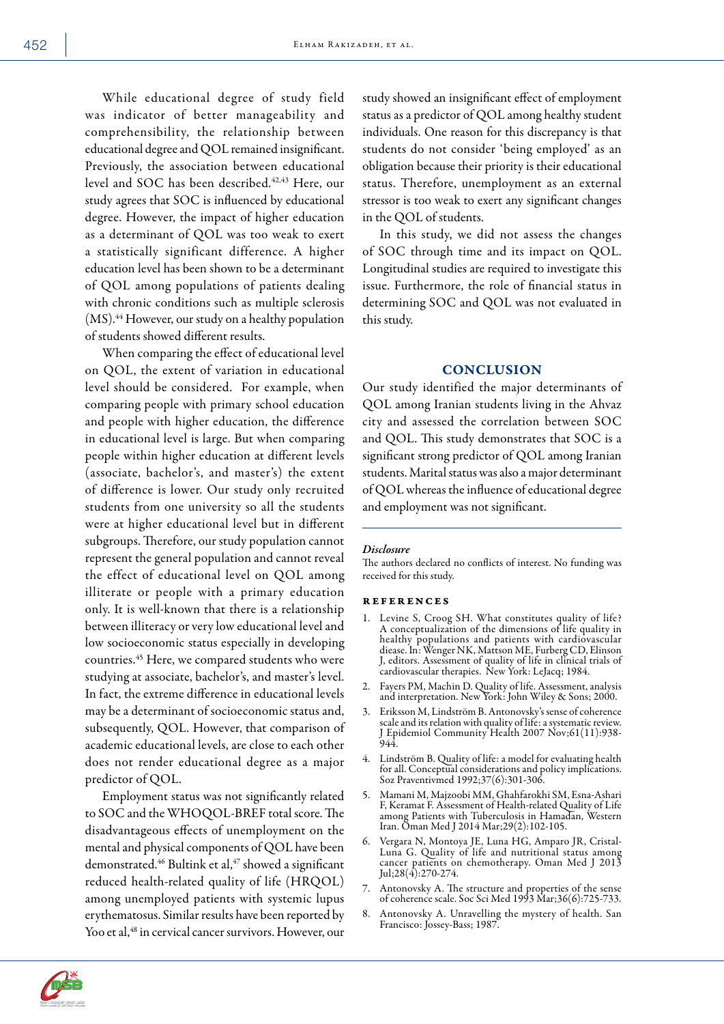While educational degree of study field was indicator of better manageability and comprehensibility, the relationship between educational degree and QOL remained insignificant. Previously, the association between educational level and SOC has been described.<sup>42,43</sup> Here, our study agrees that SOC is influenced by educational degree. However, the impact of higher education as a determinant of QOL was too weak to exert a statistically significant difference. A higher education level has been shown to be a determinant of QOL among populations of patients dealing with chronic conditions such as multiple sclerosis  $(MS).<sup>44</sup>$  However, our study on a healthy population of students showed different results.

When comparing the effect of educational level on QOL, the extent of variation in educational level should be considered. For example, when comparing people with primary school education and people with higher education, the difference in educational level is large. But when comparing people within higher education at different levels (associate, bachelor's, and master's) the extent of difference is lower. Our study only recruited students from one university so all the students were at higher educational level but in different subgroups. Therefore, our study population cannot represent the general population and cannot reveal the effect of educational level on QOL among illiterate or people with a primary education only. It is well-known that there is a relationship between illiteracy or very low educational level and low socioeconomic status especially in developing countries.45 Here, we compared students who were studying at associate, bachelor's, and master's level. In fact, the extreme difference in educational levels may be a determinant of socioeconomic status and, subsequently, QOL. However, that comparison of academic educational levels, are close to each other does not render educational degree as a major predictor of QOL.

Employment status was not significantly related to SOC and the WHOQOL-BREF total score. The disadvantageous effects of unemployment on the mental and physical components of QOL have been demonstrated.<sup>46</sup> Bultink et al,<sup>47</sup> showed a significant reduced health-related quality of life (HRQOL) among unemployed patients with systemic lupus erythematosus. Similar results have been reported by Yoo et al,<sup>48</sup> in cervical cancer survivors. However, our study showed an insignificant effect of employment status as a predictor of QOL among healthy student individuals. One reason for this discrepancy is that students do not consider 'being employed' as an obligation because their priority is their educational status. Therefore, unemployment as an external stressor is too weak to exert any significant changes in the QOL of students.

In this study, we did not assess the changes of SOC through time and its impact on QOL. Longitudinal studies are required to investigate this issue. Furthermore, the role of financial status in determining SOC and QOL was not evaluated in this study.

# **CONCLUSION**

Our study identified the major determinants of QOL among Iranian students living in the Ahvaz city and assessed the correlation between SOC and QOL. This study demonstrates that SOC is a significant strong predictor of QOL among Iranian students. Marital status was also a major determinant of QOL whereas the influence of educational degree and employment was not significant.

#### *Disclosure*

The authors declared no conflicts of interest. No funding was received for this study.

#### references

- 1. Levine S, Croog SH. What constitutes quality of life? A conceptualization of the dimensions of life quality in healthy populations and patients with cardiovascular diease. In: Wenger NK, Mattson ME, Furberg CD, Elinson J, editors. Assessment of quality of life in clinical trials of cardiovascular therapies. New York: LeJacq; 1984.
- 2. Fayers PM, Machin D. Quality of life. Assessment, analysis and interpretation. New York: John Wiley & Sons; 2000.
- 3. Eriksson M, Lindström B. Antonovsky's sense of coherence scale and its relation with quality of life: a systematic review. J Epidemiol Community Health 2007 Nov;61(11):938- 944.
- 4. Lindström B. Quality of life: a model for evaluating health for all. Conceptual considerations and policy implications. Soz Praventivmed 1992;37(6):301-306.
- 5. Mamani M, Majzoobi MM, Ghahfarokhi SM, Esna-Ashari F, Keramat F. Assessment of Health-related Quality of Life among Patients with Tuberculosis in Hamadan, Western Iran. Oman Med J 2014 Mar;29(2):102-105.
- 6. Vergara N, Montoya JE, Luna HG, Amparo JR, Cristal-Luna G. Quality of life and nutritional status among cancer patients on chemotherapy. Oman Med J 2013 Jul;  $28(4)$ :  $270-274$ .
- 7. Antonovsky A. The structure and properties of the sense of coherence scale. Soc Sci Med 1993 Mar;36(6):725-733.
- 8. Antonovsky A. Unravelling the mystery of health. San Francisco: Jossey-Bass; 1987.

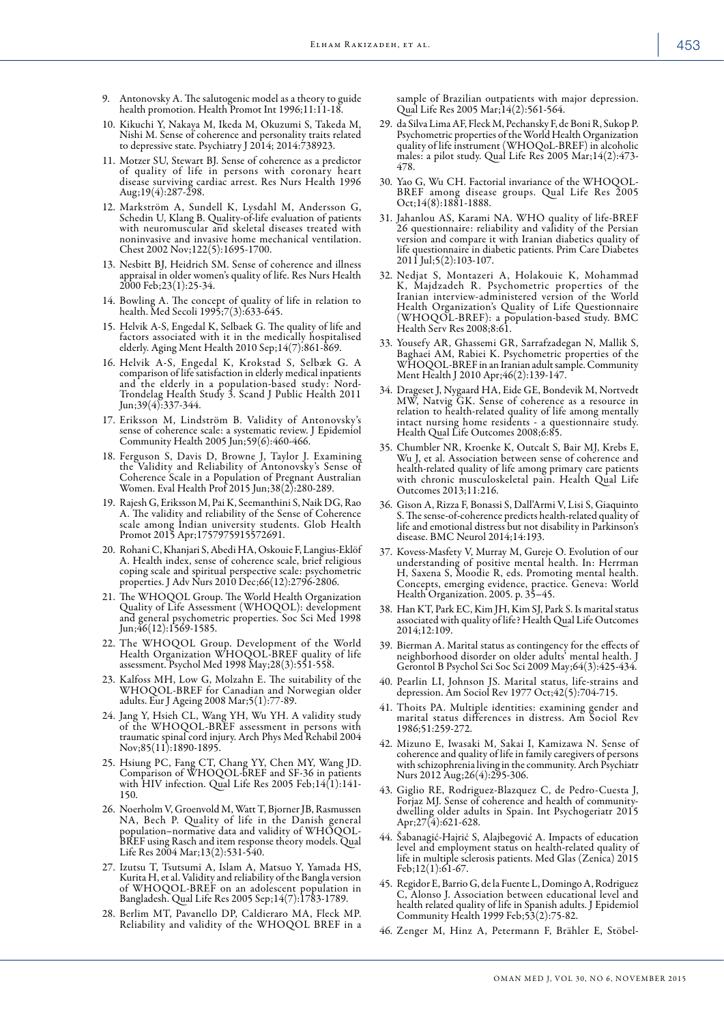- 9. Antonovsky A. The salutogenic model as a theory to guide health promotion. Health Promot Int 1996;11:11-18.
- 10. Kikuchi Y, Nakaya M, Ikeda M, Okuzumi S, Takeda M, Nishi M. Sense of coherence and personality traits related to depressive state. Psychiatry J 2014; 2014:738923.
- 11. Motzer SU, Stewart BJ. Sense of coherence as a predictor of quality of life in persons with coronary heart disease surviving cardiac arrest. Res Nurs Health 1996 Aug;  $19(4)$ :  $287 - 298$ .
- 12. Markström A, Sundell K, Lysdahl M, Andersson G, Schedin U, Klang B. Quality-of-life evaluation of patients with neuromuscular and skeletal diseases treated with noninvasive and invasive home mechanical ventilation. Chest 2002 Nov;122(5):1695-1700.
- 13. Nesbitt BJ, Heidrich SM. Sense of coherence and illness appraisal in older women's quality of life. Res Nurs Health 2000 Feb;23(1):25-34.
- 14. Bowling A. The concept of quality of life in relation to health. Med Secoli 1995;7(3):633-645.
- 15. Helvik A-S, Engedal K, Selbaek G. The quality of life and factors associated with it in the medically hospitalised elderly. Aging Ment Health 2010 Sep;14(7):861-869.
- 16. Helvik A-S, Engedal K, Krokstad S, Selbæk G. A comparison of life satisfaction in elderly medical inpatients and the elderly in a population-based study: Nord-Trondelag Health Study 3. Scand J Public Health 2011 Jun;39(4):337-344.
- 17. Eriksson M, Lindström B. Validity of Antonovsky's sense of coherence scale: a systematic review. J Epidemiol Community Health 2005 Jun;59(6):460-466.
- 18. Ferguson S, Davis D, Browne J, Taylor J. Examining the Validity and Reliability of Antonovsky's Sense of Coherence Scale in a Population of Pregnant Australian Women. Eval Health Prof 2015 Jun;38(2):280-289.
- 19. Rajesh G, Eriksson M, Pai K, Seemanthini S, Naik DG, Rao A. The validity and reliability of the Sense of Coherence scale among Indian university students. Glob Health Promot 2015 Apr;1757975915572691.
- 20. Rohani C, Khanjari S, Abedi HA, Oskouie F, Langius-Eklöf A. Health index, sense of coherence scale, brief religious coping scale and spiritual perspective scale: psychometric properties. J Adv Nurs 2010 Dec;66(12):2796-2806.
- 21. The WHOQOL Group. The World Health Organization Quality of Life Assessment (WHOQOL): development and general psychometric properties. Soc Sci Med 1998 Jun;46(12):1569-1585.
- 22. The WHOQOL Group. Development of the World Health Organization WHOQOL-BREF quality of life assessment. Psychol Med 1998 May;28(3):551-558.
- 23. Kalfoss MH, Low G, Molzahn E. The suitability of the WHOQOL-BREF for Canadian and Norwegian older adults. Eur J Ageing 2008 Mar;5(1):77-89.
- 24. Jang Y, Hsieh CL, Wang YH, Wu YH. A validity study of the WHOQOL-BREF assessment in persons with traumatic spinal cord injury. Arch Phys Med Rehabil 2004 Nov;85(11):1890-1895.
- 25. Hsiung PC, Fang CT, Chang YY, Chen MY, Wang JD. Comparison of WHOQOL-bREF and SF-36 in patients with HIV infection. Qual Life Res 2005 Feb;14(1):141- 150.
- 26. Noerholm V, Groenvold M, Watt T, Bjorner JB, Rasmussen NA, Bech P. Quality of life in the Danish general opulation–normative data and validity of WHOQOL-BREF using Rasch and item response theory models. Qual Life Res 2004 Mar;13(2):531-540.
- 27. Izutsu T, Tsutsumi A, Islam A, Matsuo Y, Yamada HS, Kurita H, et al. Validity and reliability of the Bangla version of WHOQOL-BREF on an adolescent population in Bangladesh. Qual Life Res 2005 Sep;14(7):1783-1789.
- 28. Berlim MT, Pavanello DP, Caldieraro MA, Fleck MP. Reliability and validity of the WHOQOL BREF in a

sample of Brazilian outpatients with major depression. Qual Life Res 2005 Mar;14(2):561-564.

- 29. da Silva Lima AF, Fleck M, Pechansky F, de Boni R, Sukop P. Psychometric properties of the World Health Organization quality of life instrument (WHOQoL-BREF) in alcoholic males: a pilot study. Qual Life Res 2005 Mar;14(2):473- 478.
- 30. Yao G, Wu CH. Factorial invariance of the WHOQOL-BREF among disease groups. Qual Life Res 2005 Oct;14(8):1881-1888.
- 31. Jahanlou AS, Karami NA. WHO quality of life-BREF 26 questionnaire: reliability and validity of the Persian version and compare it with Iranian diabetics quality of life questionnaire in diabetic patients. Prim Care Diabetes  $2011$  Jul;  $5(2):103-107$ .
- 32. Nedjat S, Montazeri A, Holakouie K, Mohammad K, Majdzadeh R. Psychometric properties of the Iranian interview-administered version of the World Health Organization's Quality of Life Questionnaire (WHOQOL-BREF): a population-based study. BMC Health Serv Res 2008;8:61.
- 33. Yousefy AR, Ghassemi GR, Sarrafzadegan N, Mallik S, Baghaei AM, Rabiei K. Psychometric properties of the WHOQOL-BREF in an Iranian adult sample. Community Ment Health J 2010 Apr;46(2):139-147.
- 34. Drageset J, Nygaard HA, Eide GE, Bondevik M, Nortvedt MW, Natvig GK. Sense of coherence as a resource in relation to health-related quality of life among mentally intact nursing home residents - a questionnaire study. Health Qual Life Outcomes 2008;6:85.
- 35. Chumbler NR, Kroenke K, Outcalt S, Bair MJ, Krebs E, Wu J, et al. Association between sense of coherence and health-related quality of life among primary care patients with chronic musculoskeletal pain. Health Qual Life Outcomes 2013;11:216.
- 36. Gison A, Rizza F, Bonassi S, Dall'Armi V, Lisi S, Giaquinto S. The sense-of-coherence predicts health-related quality of life and emotional distress but not disability in Parkinson's disease. BMC Neurol 2014;14:193.
- 37. Kovess-Masfety V, Murray M, Gureje O. Evolution of our understanding of positive mental health. In: Herrman H, Saxena S, Moodie R, eds. Promoting mental health. Concepts, emerging evidence, practice. Geneva: World Health Organization. 2005. p. 35–45.
- 38. Han KT, Park EC, Kim JH, Kim SJ, Park S. Is marital status associated with quality of life? Health Qual Life Outcomes 2014;12:109.
- 39. Bierman A. Marital status as contingency for the effects of neighborhood disorder on older adults' mental health. J Gerontol B Psychol Sci Soc Sci 2009 May;64(3):425-434.
- 40. Pearlin LI, Johnson JS. Marital status, life-strains and depression. Am Sociol Rev 1977 Oct;42(5):704-715.
- 41. Thoits PA. Multiple identities: examining gender and marital status differences in distress. Am Sociol Rev 1986;51:259-272.
- 42. Mizuno E, Iwasaki M, Sakai I, Kamizawa N. Sense of coherence and quality of life in family caregivers of persons with schizophrenia living in the community. Arch Psychiatr Nurs 2012 Aug;26(4):295-306.
- 43. Giglio RE, Rodriguez-Blazquez C, de Pedro-Cuesta J, Forjaz MJ. Sense of coherence and health of communitydwelling older adults in Spain. Int Psychogeriatr 2015 Apr;  $27(4)$ : 621-628.
- 44. Šabanagić-Hajrić S, Alajbegović A. Impacts of education level and employment status on health-related quality of life in multiple sclerosis patients. Med Glas (Zenica) 2015 Feb;12(1):61-67.
- 45. Regidor E, Barrio G, de la Fuente L, Domingo A, Rodriguez C, Alonso J. Association between educational level and health related quality of life in Spanish adults. J Epidemiol Community Health 1999 Feb;53(2):75-82.
- 46. Zenger M, Hinz A, Petermann F, Brähler E, Stöbel-